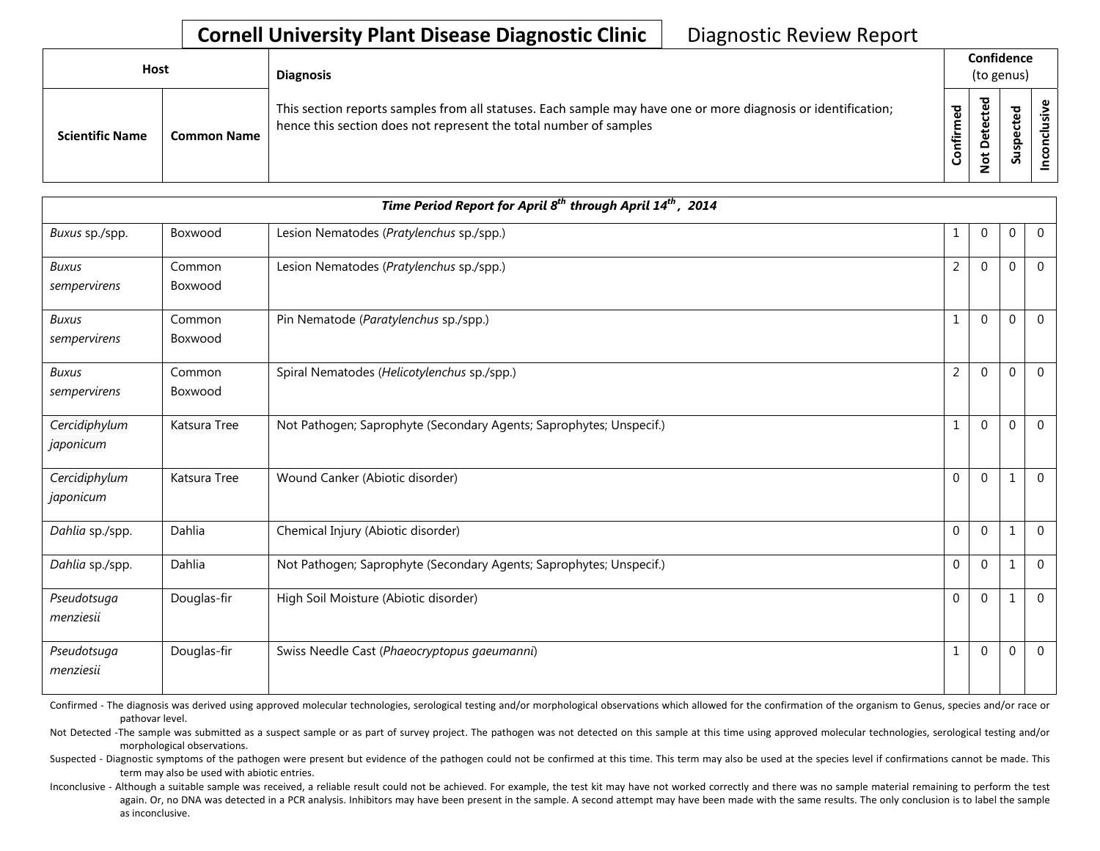## **Cornell University Plant Disease Diagnostic Clinic** | Diagnostic Review Report

| Host                   |                    | <b>Diagnosis</b>                                                                                                                                                                   |                 |                                                        | Confidence<br>(to genus)                      |  |
|------------------------|--------------------|------------------------------------------------------------------------------------------------------------------------------------------------------------------------------------|-----------------|--------------------------------------------------------|-----------------------------------------------|--|
| <b>Scientific Name</b> | <b>Common Name</b> | This section reports samples from all statuses. Each sample may have one or more diagnosis or identification;<br>hence this section does not represent the total number of samples | ъ<br>Ě<br>nfiri | ъ<br>$\mathbf \omega$<br>ပ<br>$\omega$<br>ω<br>۵<br>ءِ | ਠ<br>₽<br>ں<br>Φ<br>௨<br>$\overline{v}$<br>చె |  |

|                              |                   | Time Period Report for April 8 <sup>th</sup> through April 14 <sup>th</sup> , 2014 |                |              |          |                |
|------------------------------|-------------------|------------------------------------------------------------------------------------|----------------|--------------|----------|----------------|
| Buxus sp./spp.               | Boxwood           | Lesion Nematodes (Pratylenchus sp./spp.)                                           | 1              | $\mathbf{0}$ | $\Omega$ | $\overline{0}$ |
| <b>Buxus</b><br>sempervirens | Common<br>Boxwood | Lesion Nematodes (Pratylenchus sp./spp.)                                           | $\overline{2}$ | $\Omega$     | $\Omega$ | $\Omega$       |
| <b>Buxus</b><br>sempervirens | Common<br>Boxwood | Pin Nematode (Paratylenchus sp./spp.)                                              | $\mathbf{1}$   | $\Omega$     | O        | $\Omega$       |
| <b>Buxus</b><br>sempervirens | Common<br>Boxwood | Spiral Nematodes (Helicotylenchus sp./spp.)                                        | $\overline{2}$ | $\Omega$     | $\Omega$ | $\Omega$       |
| Cercidiphylum<br>japonicum   | Katsura Tree      | Not Pathogen; Saprophyte (Secondary Agents; Saprophytes; Unspecif.)                | $\mathbf{1}$   | $\Omega$     | 0        | $\Omega$       |
| Cercidiphylum<br>japonicum   | Katsura Tree      | Wound Canker (Abiotic disorder)                                                    | $\Omega$       | $\mathbf{0}$ |          | $\Omega$       |
| Dahlia sp./spp.              | Dahlia            | Chemical Injury (Abiotic disorder)                                                 | $\Omega$       | $\Omega$     |          | $\Omega$       |
| Dahlia sp./spp.              | Dahlia            | Not Pathogen; Saprophyte (Secondary Agents; Saprophytes; Unspecif.)                | $\mathbf 0$    | $\Omega$     | 1        | $\mathbf 0$    |
| Pseudotsuga<br>menziesii     | Douglas-fir       | High Soil Moisture (Abiotic disorder)                                              | $\Omega$       | $\mathbf{0}$ |          | $\Omega$       |
| Pseudotsuga<br>menziesii     | Douglas-fir       | Swiss Needle Cast (Phaeocryptopus gaeumanni)                                       | $\mathbf{1}$   | $\Omega$     | $\Omega$ | $\Omega$       |

Confirmed - The diagnosis was derived using approved molecular technologies, serological testing and/or morphological observations which allowed for the confirmation of the organism to Genus, species and/or race or pathovar level.

Not Detected -The sample was submitted as a suspect sample or as part of survey project. The pathogen was not detected on this sample at this time using approved molecular technologies, serological testing and/or morphological observations.

Suspected - Diagnostic symptoms of the pathogen were present but evidence of the pathogen could not be confirmed at this time. This term may also be used at the species level if confirmations cannot be made. This term may also be used with abiotic entries.

Inconclusive - Although a suitable sample was received, a reliable result could not be achieved. For example, the test kit may have not worked correctly and there was no sample material remaining to perform the test again. Or, no DNA was detected in a PCR analysis. Inhibitors may have been present in the sample. A second attempt may have been made with the same results. The only conclusion is to label the sample as inconclusive.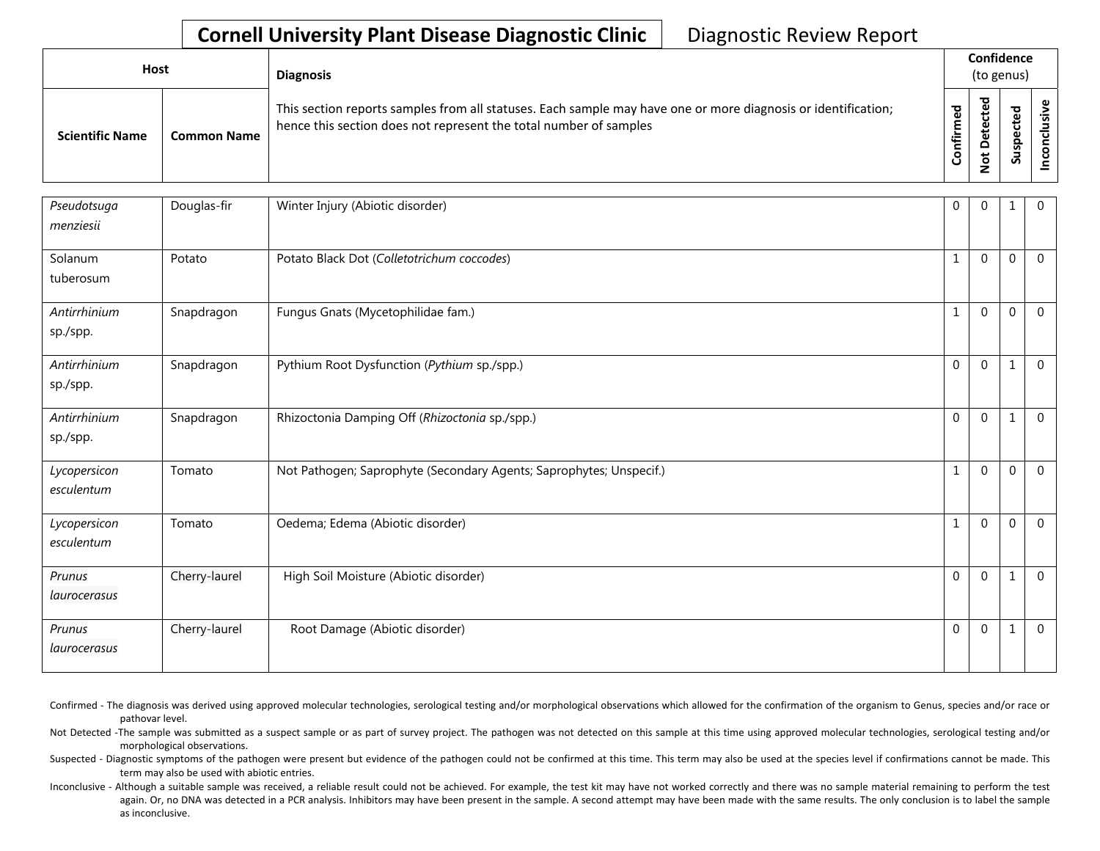## **Cornell University Plant Disease Diagnostic Clinic** | Diagnostic Review Report

| Host                   |                    | <b>Diagnosis</b>                                                                                                                                                                   |                            |             | Confidence<br>(to genus) |   |
|------------------------|--------------------|------------------------------------------------------------------------------------------------------------------------------------------------------------------------------------|----------------------------|-------------|--------------------------|---|
| <b>Scientific Name</b> | <b>Common Name</b> | This section reports samples from all statuses. Each sample may have one or more diagnosis or identification;<br>hence this section does not represent the total number of samples | $\mathbf{e}$<br>Ě<br>onfir | ठ<br>پ<br>S | ਠ<br>௨<br>ູລ             | ں |

| Pseudotsuga<br>menziesii   | Douglas-fir   | Winter Injury (Abiotic disorder)                                    | $\mathbf 0$  | $\Omega$     | 1        | $\overline{0}$ |
|----------------------------|---------------|---------------------------------------------------------------------|--------------|--------------|----------|----------------|
| Solanum<br>tuberosum       | Potato        | Potato Black Dot (Colletotrichum coccodes)                          | $\mathbf{1}$ | $\Omega$     | $\Omega$ | $\mathbf 0$    |
| Antirrhinium<br>sp./spp.   | Snapdragon    | Fungus Gnats (Mycetophilidae fam.)                                  | $\mathbf{1}$ | $\Omega$     | $\Omega$ | $\Omega$       |
| Antirrhinium<br>sp./spp.   | Snapdragon    | Pythium Root Dysfunction (Pythium sp./spp.)                         | $\mathbf 0$  | $\mathbf{0}$ |          | $\mathbf 0$    |
| Antirrhinium<br>sp./spp.   | Snapdragon    | Rhizoctonia Damping Off (Rhizoctonia sp./spp.)                      | $\mathbf 0$  | $\Omega$     |          | $\mathbf 0$    |
| Lycopersicon<br>esculentum | Tomato        | Not Pathogen; Saprophyte (Secondary Agents; Saprophytes; Unspecif.) | $\mathbf{1}$ | $\mathbf{0}$ | $\Omega$ | $\mathbf 0$    |
| Lycopersicon<br>esculentum | Tomato        | Oedema; Edema (Abiotic disorder)                                    | $\mathbf{1}$ | $\Omega$     | $\Omega$ | $\Omega$       |
| Prunus<br>laurocerasus     | Cherry-laurel | High Soil Moisture (Abiotic disorder)                               | $\Omega$     | $\Omega$     |          | $\overline{0}$ |
| Prunus<br>laurocerasus     | Cherry-laurel | Root Damage (Abiotic disorder)                                      | $\Omega$     | $\Omega$     | 1        | $\overline{0}$ |

Confirmed - The diagnosis was derived using approved molecular technologies, serological testing and/or morphological observations which allowed for the confirmation of the organism to Genus, species and/or race or pathovar level.

Not Detected -The sample was submitted as a suspect sample or as part of survey project. The pathogen was not detected on this sample at this time using approved molecular technologies, serological testing and/or morphological observations.

Suspected - Diagnostic symptoms of the pathogen were present but evidence of the pathogen could not be confirmed at this time. This term may also be used at the species level if confirmations cannot be made. This term may also be used with abiotic entries.

Inconclusive - Although a suitable sample was received, a reliable result could not be achieved. For example, the test kit may have not worked correctly and there was no sample material remaining to perform the test again. Or, no DNA was detected in a PCR analysis. Inhibitors may have been present in the sample. A second attempt may have been made with the same results. The only conclusion is to label the sample as inconclusive.